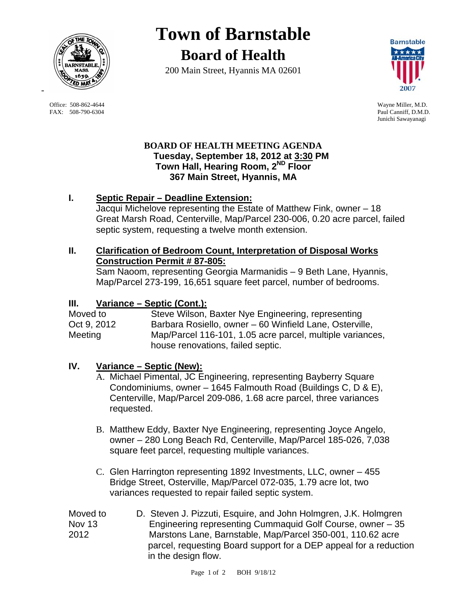

 Office: 508-862-4644 Wayne Miller, M.D. FAX: 508-790-6304 Paul Canniff, D.M.D.

# **Town of Barnstable Board of Health**

200 Main Street, Hyannis MA 02601



Junichi Sawayanagi

#### **BOARD OF HEALTH MEETING AGENDA Tuesday, September 18, 2012 at 3:30 PM Town Hall, Hearing Room, 2ND Floor 367 Main Street, Hyannis, MA**

## **I. Septic Repair – Deadline Extension:**

Jacqui Michelove representing the Estate of Matthew Fink, owner – 18 Great Marsh Road, Centerville, Map/Parcel 230-006, 0.20 acre parcel, failed septic system, requesting a twelve month extension.

### **II. Clarification of Bedroom Count, Interpretation of Disposal Works Construction Permit # 87-805:**

Sam Naoom, representing Georgia Marmanidis – 9 Beth Lane, Hyannis, Map/Parcel 273-199, 16,651 square feet parcel, number of bedrooms.

## **III. Variance – Septic (Cont.):**

Moved to Steve Wilson, Baxter Nye Engineering, representing Oct 9, 2012 Barbara Rosiello, owner – 60 Winfield Lane, Osterville, Meeting Map/Parcel 116-101, 1.05 acre parcel, multiple variances, house renovations, failed septic.

# **IV. Variance – Septic (New):**

- A. Michael Pimental, JC Engineering, representing Bayberry Square Condominiums, owner – 1645 Falmouth Road (Buildings C, D & E), Centerville, Map/Parcel 209-086, 1.68 acre parcel, three variances requested.
- B. Matthew Eddy, Baxter Nye Engineering, representing Joyce Angelo, owner – 280 Long Beach Rd, Centerville, Map/Parcel 185-026, 7,038 square feet parcel, requesting multiple variances.
- C. Glen Harrington representing 1892 Investments, LLC, owner 455 Bridge Street, Osterville, Map/Parcel 072-035, 1.79 acre lot, two variances requested to repair failed septic system.
- Moved to D. Steven J. Pizzuti, Esquire, and John Holmgren, J.K. Holmgren Nov 13 Engineering representing Cummaquid Golf Course, owner – 35 2012 Marstons Lane, Barnstable, Map/Parcel 350-001, 110.62 acre parcel, requesting Board support for a DEP appeal for a reduction in the design flow.